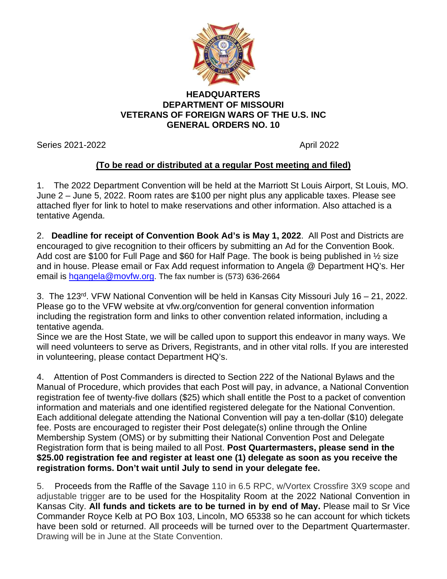

## **HEADQUARTERS DEPARTMENT OF MISSOURI VETERANS OF FOREIGN WARS OF THE U.S. INC GENERAL ORDERS NO. 10**

Series 2021-2022 **April 2022** 

## **(To be read or distributed at a regular Post meeting and filed)**

1. The 2022 Department Convention will be held at the Marriott St Louis Airport, St Louis, MO. June 2 – June 5, 2022. Room rates are \$100 per night plus any applicable taxes. Please see attached flyer for link to hotel to make reservations and other information. Also attached is a tentative Agenda.

2. **Deadline for receipt of Convention Book Ad's is May 1, 2022**. All Post and Districts are encouraged to give recognition to their officers by submitting an Ad for the Convention Book. Add cost are \$100 for Full Page and \$60 for Half Page. The book is being published in 1/2 size and in house. Please email or Fax Add request information to Angela @ Department HQ's. Her email is [hqangela@movfw.org.](mailto:hqangela@movfw.org) The fax number is (573) 636-2664

3. The 123rd. VFW National Convention will be held in Kansas City Missouri July 16 – 21, 2022. Please go to the VFW website at vfw.org/convention for general convention information including the registration form and links to other convention related information, including a tentative agenda.

Since we are the Host State, we will be called upon to support this endeavor in many ways. We will need volunteers to serve as Drivers, Registrants, and in other vital rolls. If you are interested in volunteering, please contact Department HQ's.

4. Attention of Post Commanders is directed to Section 222 of the National Bylaws and the Manual of Procedure, which provides that each Post will pay, in advance, a National Convention registration fee of twenty-five dollars (\$25) which shall entitle the Post to a packet of convention information and materials and one identified registered delegate for the National Convention. Each additional delegate attending the National Convention will pay a ten-dollar (\$10) delegate fee. Posts are encouraged to register their Post delegate(s) online through the Online Membership System (OMS) or by submitting their National Convention Post and Delegate Registration form that is being mailed to all Post. **Post Quartermasters, please send in the \$25.00 registration fee and register at least one (1) delegate as soon as you receive the registration forms. Don't wait until July to send in your delegate fee.**

5. Proceeds from the Raffle of the Savage 110 in 6.5 RPC, w/Vortex Crossfire 3X9 scope and adjustable trigger are to be used for the Hospitality Room at the 2022 National Convention in Kansas City. **All funds and tickets are to be turned in by end of May.** Please mail to Sr Vice Commander Royce Kelb at PO Box 103, Lincoln, MO 65338 so he can account for which tickets have been sold or returned. All proceeds will be turned over to the Department Quartermaster. Drawing will be in June at the State Convention.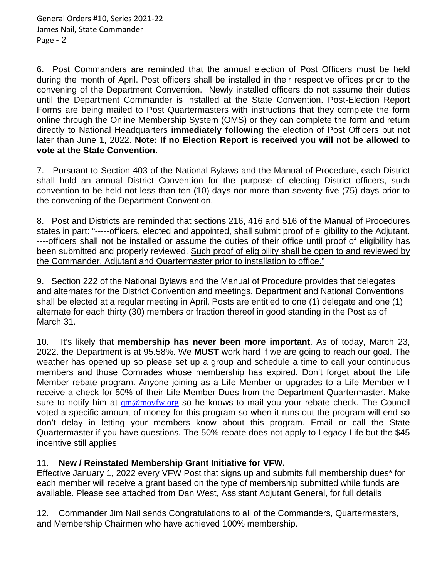6. Post Commanders are reminded that the annual election of Post Officers must be held during the month of April. Post officers shall be installed in their respective offices prior to the convening of the Department Convention. Newly installed officers do not assume their duties until the Department Commander is installed at the State Convention. Post-Election Report Forms are being mailed to Post Quartermasters with instructions that they complete the form online through the Online Membership System (OMS) or they can complete the form and return directly to National Headquarters **immediately following** the election of Post Officers but not later than June 1, 2022. **Note: If no Election Report is received you will not be allowed to vote at the State Convention.**

7. Pursuant to Section 403 of the National Bylaws and the Manual of Procedure, each District shall hold an annual District Convention for the purpose of electing District officers, such convention to be held not less than ten (10) days nor more than seventy-five (75) days prior to the convening of the Department Convention.

8. Post and Districts are reminded that sections 216, 416 and 516 of the Manual of Procedures states in part: "-----officers, elected and appointed, shall submit proof of eligibility to the Adjutant. ----officers shall not be installed or assume the duties of their office until proof of eligibility has been submitted and properly reviewed. Such proof of eligibility shall be open to and reviewed by the Commander, Adjutant and Quartermaster prior to installation to office."

9. Section 222 of the National Bylaws and the Manual of Procedure provides that delegates and alternates for the District Convention and meetings, Department and National Conventions shall be elected at a regular meeting in April. Posts are entitled to one (1) delegate and one (1) alternate for each thirty (30) members or fraction thereof in good standing in the Post as of March 31.

10. It's likely that **membership has never been more important**. As of today, March 23, 2022. the Department is at 95.58%. We **MUST** work hard if we are going to reach our goal. The weather has opened up so please set up a group and schedule a time to call your continuous members and those Comrades whose membership has expired. Don't forget about the Life Member rebate program. Anyone joining as a Life Member or upgrades to a Life Member will receive a check for 50% of their Life Member Dues from the Department Quartermaster. Make sure to notify him at  $qm@movfw.org$  so he knows to mail you your rebate check. The Council voted a specific amount of money for this program so when it runs out the program will end so don't delay in letting your members know about this program. Email or call the State Quartermaster if you have questions. The 50% rebate does not apply to Legacy Life but the \$45 incentive still applies

## 11. **New / Reinstated Membership Grant Initiative for VFW.**

Effective January 1, 2022 every VFW Post that signs up and submits full membership dues\* for each member will receive a grant based on the type of membership submitted while funds are available. Please see attached from Dan West, Assistant Adjutant General, for full details

12.Commander Jim Nail sends Congratulations to all of the Commanders, Quartermasters, and Membership Chairmen who have achieved 100% membership.